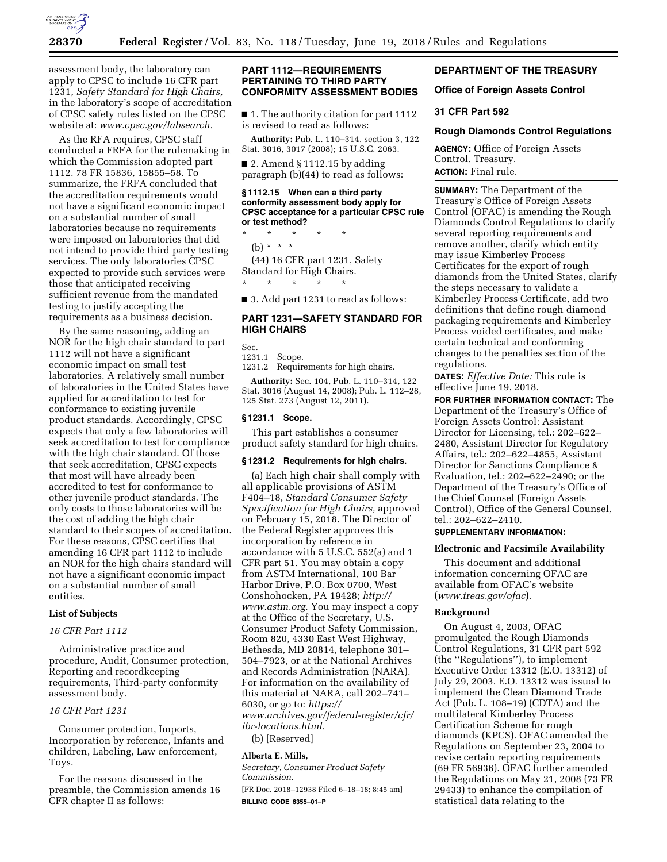

assessment body, the laboratory can apply to CPSC to include 16 CFR part 1231, *Safety Standard for High Chairs,*  in the laboratory's scope of accreditation of CPSC safety rules listed on the CPSC website at: *[www.cpsc.gov/labsearch.](http://www.cpsc.gov/labsearch)* 

As the RFA requires, CPSC staff conducted a FRFA for the rulemaking in which the Commission adopted part 1112. 78 FR 15836, 15855–58. To summarize, the FRFA concluded that the accreditation requirements would not have a significant economic impact on a substantial number of small laboratories because no requirements were imposed on laboratories that did not intend to provide third party testing services. The only laboratories CPSC expected to provide such services were those that anticipated receiving sufficient revenue from the mandated testing to justify accepting the requirements as a business decision.

By the same reasoning, adding an NOR for the high chair standard to part 1112 will not have a significant economic impact on small test laboratories. A relatively small number of laboratories in the United States have applied for accreditation to test for conformance to existing juvenile product standards. Accordingly, CPSC expects that only a few laboratories will seek accreditation to test for compliance with the high chair standard. Of those that seek accreditation, CPSC expects that most will have already been accredited to test for conformance to other juvenile product standards. The only costs to those laboratories will be the cost of adding the high chair standard to their scopes of accreditation. For these reasons, CPSC certifies that amending 16 CFR part 1112 to include an NOR for the high chairs standard will not have a significant economic impact on a substantial number of small entities.

#### **List of Subjects**

# *16 CFR Part 1112*

Administrative practice and procedure, Audit, Consumer protection, Reporting and recordkeeping requirements, Third-party conformity assessment body.

# *16 CFR Part 1231*

Consumer protection, Imports, Incorporation by reference, Infants and children, Labeling, Law enforcement, Toys.

For the reasons discussed in the preamble, the Commission amends 16 CFR chapter II as follows:

# **PART 1112—REQUIREMENTS PERTAINING TO THIRD PARTY CONFORMITY ASSESSMENT BODIES**

■ 1. The authority citation for part 1112 is revised to read as follows:

**Authority:** Pub. L. 110–314, section 3, 122 Stat. 3016, 3017 (2008); 15 U.S.C. 2063.

 $\blacksquare$  2. Amend § 1112.15 by adding paragraph (b)(44) to read as follows:

#### **§ 1112.15 When can a third party conformity assessment body apply for CPSC acceptance for a particular CPSC rule or test method?**

\* \* \* \* \* (b)  $* * * *$ 

(44) 16 CFR part 1231, Safety

Standard for High Chairs. \* \* \* \* \*

■ 3. Add part 1231 to read as follows:

# **PART 1231—SAFETY STANDARD FOR HIGH CHAIRS**

Sec.

1231.1 Scope.

1231.2 Requirements for high chairs.

**Authority:** Sec. 104, Pub. L. 110–314, 122 Stat. 3016 (August 14, 2008); Pub. L. 112–28, 125 Stat. 273 (August 12, 2011).

#### **§ 1231.1 Scope.**

This part establishes a consumer product safety standard for high chairs.

#### **§ 1231.2 Requirements for high chairs.**

(a) Each high chair shall comply with all applicable provisions of ASTM F404–18, *Standard Consumer Safety Specification for High Chairs,* approved on February 15, 2018. The Director of the Federal Register approves this incorporation by reference in accordance with 5 U.S.C. 552(a) and 1 CFR part 51. You may obtain a copy from ASTM International, 100 Bar Harbor Drive, P.O. Box 0700, West Conshohocken, PA 19428; *[http://](http://www.astm.org) [www.astm.org.](http://www.astm.org)* You may inspect a copy at the Office of the Secretary, U.S. Consumer Product Safety Commission, Room 820, 4330 East West Highway, Bethesda, MD 20814, telephone 301– 504–7923, or at the National Archives and Records Administration (NARA). For information on the availability of this material at NARA, call 202–741– 6030, or go to: *[https://](https://www.archives.gov/federal-register/cfr/ibr-locations.html) [www.archives.gov/federal-register/cfr/](https://www.archives.gov/federal-register/cfr/ibr-locations.html)  [ibr-locations.html.](https://www.archives.gov/federal-register/cfr/ibr-locations.html)* 

(b) [Reserved]

### **Alberta E. Mills,**

*Secretary, Consumer Product Safety Commission.* 

[FR Doc. 2018–12938 Filed 6–18–18; 8:45 am] **BILLING CODE 6355–01–P** 

# **DEPARTMENT OF THE TREASURY**

## **Office of Foreign Assets Control**

# **31 CFR Part 592**

## **Rough Diamonds Control Regulations**

**AGENCY:** Office of Foreign Assets Control, Treasury. **ACTION:** Final rule.

**SUMMARY:** The Department of the Treasury's Office of Foreign Assets Control (OFAC) is amending the Rough Diamonds Control Regulations to clarify several reporting requirements and remove another, clarify which entity may issue Kimberley Process Certificates for the export of rough diamonds from the United States, clarify the steps necessary to validate a Kimberley Process Certificate, add two definitions that define rough diamond packaging requirements and Kimberley Process voided certificates, and make certain technical and conforming changes to the penalties section of the regulations.

**DATES:** *Effective Date:* This rule is effective June 19, 2018.

**FOR FURTHER INFORMATION CONTACT:** The Department of the Treasury's Office of Foreign Assets Control: Assistant Director for Licensing, tel.: 202–622– 2480, Assistant Director for Regulatory Affairs, tel.: 202–622–4855, Assistant Director for Sanctions Compliance & Evaluation, tel.: 202–622–2490; or the Department of the Treasury's Office of the Chief Counsel (Foreign Assets Control), Office of the General Counsel, tel.: 202–622–2410.

# **SUPPLEMENTARY INFORMATION:**

# **Electronic and Facsimile Availability**

This document and additional information concerning OFAC are available from OFAC's website (*[www.treas.gov/ofac](http://www.treas.gov/ofac)*).

## **Background**

On August 4, 2003, OFAC promulgated the Rough Diamonds Control Regulations, 31 CFR part 592 (the ''Regulations''), to implement Executive Order 13312 (E.O. 13312) of July 29, 2003. E.O. 13312 was issued to implement the Clean Diamond Trade Act (Pub. L. 108–19) (CDTA) and the multilateral Kimberley Process Certification Scheme for rough diamonds (KPCS). OFAC amended the Regulations on September 23, 2004 to revise certain reporting requirements (69 FR 56936). OFAC further amended the Regulations on May 21, 2008 (73 FR 29433) to enhance the compilation of statistical data relating to the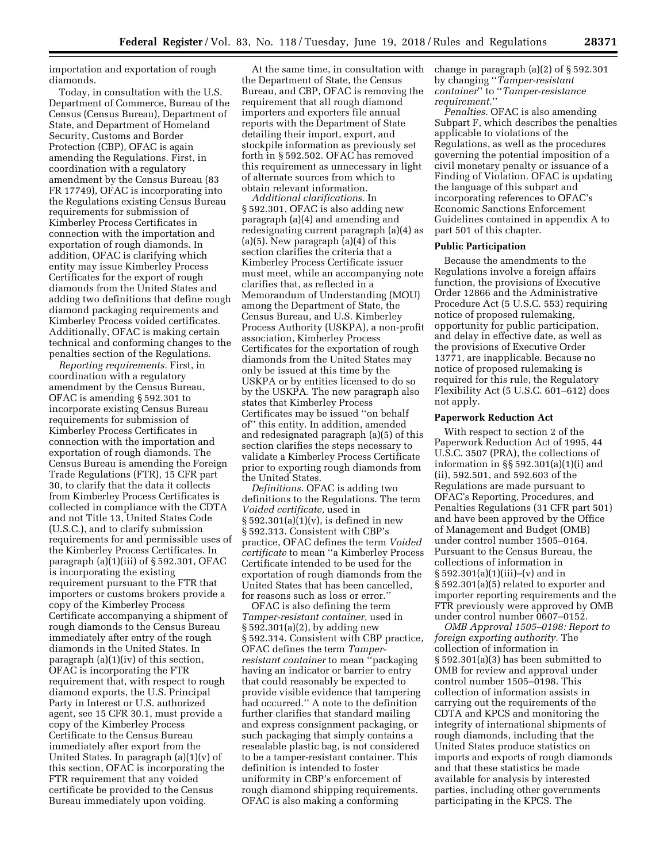importation and exportation of rough diamonds.

Today, in consultation with the U.S. Department of Commerce, Bureau of the Census (Census Bureau), Department of State, and Department of Homeland Security, Customs and Border Protection (CBP), OFAC is again amending the Regulations. First, in coordination with a regulatory amendment by the Census Bureau (83 FR 17749), OFAC is incorporating into the Regulations existing Census Bureau requirements for submission of Kimberley Process Certificates in connection with the importation and exportation of rough diamonds. In addition, OFAC is clarifying which entity may issue Kimberley Process Certificates for the export of rough diamonds from the United States and adding two definitions that define rough diamond packaging requirements and Kimberley Process voided certificates. Additionally, OFAC is making certain technical and conforming changes to the penalties section of the Regulations.

*Reporting requirements.* First, in coordination with a regulatory amendment by the Census Bureau, OFAC is amending § 592.301 to incorporate existing Census Bureau requirements for submission of Kimberley Process Certificates in connection with the importation and exportation of rough diamonds. The Census Bureau is amending the Foreign Trade Regulations (FTR), 15 CFR part 30, to clarify that the data it collects from Kimberley Process Certificates is collected in compliance with the CDTA and not Title 13, United States Code (U.S.C.), and to clarify submission requirements for and permissible uses of the Kimberley Process Certificates. In paragraph  $(a)(1)(iii)$  of § 592.301, OFAC is incorporating the existing requirement pursuant to the FTR that importers or customs brokers provide a copy of the Kimberley Process Certificate accompanying a shipment of rough diamonds to the Census Bureau immediately after entry of the rough diamonds in the United States. In paragraph (a)(1)(iv) of this section, OFAC is incorporating the FTR requirement that, with respect to rough diamond exports, the U.S. Principal Party in Interest or U.S. authorized agent, see 15 CFR 30.1, must provide a copy of the Kimberley Process Certificate to the Census Bureau immediately after export from the United States. In paragraph (a)(1)(v) of this section, OFAC is incorporating the FTR requirement that any voided certificate be provided to the Census Bureau immediately upon voiding.

At the same time, in consultation with the Department of State, the Census Bureau, and CBP, OFAC is removing the requirement that all rough diamond importers and exporters file annual reports with the Department of State detailing their import, export, and stockpile information as previously set forth in § 592.502. OFAC has removed this requirement as unnecessary in light of alternate sources from which to obtain relevant information.

*Additional clarifications.* In § 592.301, OFAC is also adding new paragraph (a)(4) and amending and redesignating current paragraph (a)(4) as  $(a)(5)$ . New paragraph  $(a)(4)$  of this section clarifies the criteria that a Kimberley Process Certificate issuer must meet, while an accompanying note clarifies that, as reflected in a Memorandum of Understanding (MOU) among the Department of State, the Census Bureau, and U.S. Kimberley Process Authority (USKPA), a non-profit association, Kimberley Process Certificates for the exportation of rough diamonds from the United States may only be issued at this time by the USKPA or by entities licensed to do so by the USKPA. The new paragraph also states that Kimberley Process Certificates may be issued ''on behalf of'' this entity. In addition, amended and redesignated paragraph (a)(5) of this section clarifies the steps necessary to validate a Kimberley Process Certificate prior to exporting rough diamonds from the United States.

*Definitions.* OFAC is adding two definitions to the Regulations. The term *Voided certificate,* used in  $\S 592.301(a)(1)(v)$ , is defined in new § 592.313. Consistent with CBP's practice, OFAC defines the term *Voided certificate* to mean ''a Kimberley Process Certificate intended to be used for the exportation of rough diamonds from the United States that has been cancelled, for reasons such as loss or error.''

OFAC is also defining the term *Tamper-resistant container,* used in § 592.301(a)(2), by adding new § 592.314. Consistent with CBP practice, OFAC defines the term *Tamperresistant container* to mean ''packaging having an indicator or barrier to entry that could reasonably be expected to provide visible evidence that tampering had occurred.'' A note to the definition further clarifies that standard mailing and express consignment packaging, or such packaging that simply contains a resealable plastic bag, is not considered to be a tamper-resistant container. This definition is intended to foster uniformity in CBP's enforcement of rough diamond shipping requirements. OFAC is also making a conforming

change in paragraph (a)(2) of § 592.301 by changing ''*Tamper-resistant container*'' to ''*Tamper-resistance requirement.*''

*Penalties.* OFAC is also amending Subpart F, which describes the penalties applicable to violations of the Regulations, as well as the procedures governing the potential imposition of a civil monetary penalty or issuance of a Finding of Violation. OFAC is updating the language of this subpart and incorporating references to OFAC's Economic Sanctions Enforcement Guidelines contained in appendix A to part 501 of this chapter.

# **Public Participation**

Because the amendments to the Regulations involve a foreign affairs function, the provisions of Executive Order 12866 and the Administrative Procedure Act (5 U.S.C. 553) requiring notice of proposed rulemaking, opportunity for public participation, and delay in effective date, as well as the provisions of Executive Order 13771, are inapplicable. Because no notice of proposed rulemaking is required for this rule, the Regulatory Flexibility Act (5 U.S.C. 601–612) does not apply.

### **Paperwork Reduction Act**

With respect to section 2 of the Paperwork Reduction Act of 1995, 44 U.S.C. 3507 (PRA), the collections of information in §§ 592.301(a)(1)(i) and (ii), 592.501, and 592.603 of the Regulations are made pursuant to OFAC's Reporting, Procedures, and Penalties Regulations (31 CFR part 501) and have been approved by the Office of Management and Budget (OMB) under control number 1505–0164. Pursuant to the Census Bureau, the collections of information in § 592.301(a)(1)(iii)–(v) and in § 592.301(a)(5) related to exporter and importer reporting requirements and the FTR previously were approved by OMB under control number 0607–0152.

*OMB Approval 1505–0198: Report to foreign exporting authority.* The collection of information in § 592.301(a)(3) has been submitted to OMB for review and approval under control number 1505–0198. This collection of information assists in carrying out the requirements of the CDTA and KPCS and monitoring the integrity of international shipments of rough diamonds, including that the United States produce statistics on imports and exports of rough diamonds and that these statistics be made available for analysis by interested parties, including other governments participating in the KPCS. The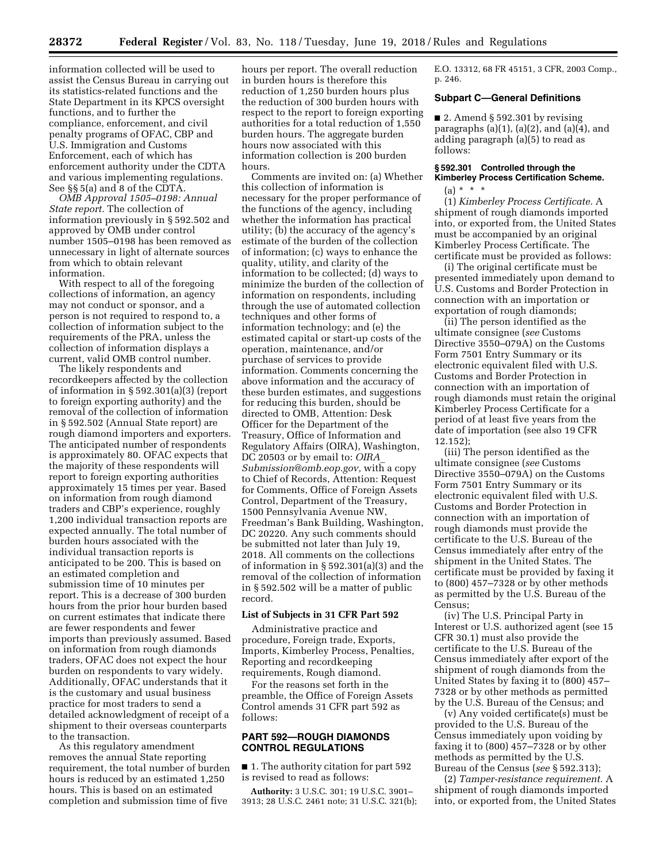information collected will be used to assist the Census Bureau in carrying out its statistics-related functions and the State Department in its KPCS oversight functions, and to further the compliance, enforcement, and civil penalty programs of OFAC, CBP and U.S. Immigration and Customs Enforcement, each of which has enforcement authority under the CDTA and various implementing regulations. See §§ 5(a) and 8 of the CDTA.

*OMB Approval 1505–0198: Annual State report.* The collection of information previously in § 592.502 and approved by OMB under control number 1505–0198 has been removed as unnecessary in light of alternate sources from which to obtain relevant information.

With respect to all of the foregoing collections of information, an agency may not conduct or sponsor, and a person is not required to respond to, a collection of information subject to the requirements of the PRA, unless the collection of information displays a current, valid OMB control number.

The likely respondents and recordkeepers affected by the collection of information in § 592.301(a)(3) (report to foreign exporting authority) and the removal of the collection of information in § 592.502 (Annual State report) are rough diamond importers and exporters. The anticipated number of respondents is approximately 80. OFAC expects that the majority of these respondents will report to foreign exporting authorities approximately 15 times per year. Based on information from rough diamond traders and CBP's experience, roughly 1,200 individual transaction reports are expected annually. The total number of burden hours associated with the individual transaction reports is anticipated to be 200. This is based on an estimated completion and submission time of 10 minutes per report. This is a decrease of 300 burden hours from the prior hour burden based on current estimates that indicate there are fewer respondents and fewer imports than previously assumed. Based on information from rough diamonds traders, OFAC does not expect the hour burden on respondents to vary widely. Additionally, OFAC understands that it is the customary and usual business practice for most traders to send a detailed acknowledgment of receipt of a shipment to their overseas counterparts to the transaction.

As this regulatory amendment removes the annual State reporting requirement, the total number of burden hours is reduced by an estimated 1,250 hours. This is based on an estimated completion and submission time of five

hours per report. The overall reduction in burden hours is therefore this reduction of 1,250 burden hours plus the reduction of 300 burden hours with respect to the report to foreign exporting authorities for a total reduction of 1,550 burden hours. The aggregate burden hours now associated with this information collection is 200 burden hours.

Comments are invited on: (a) Whether this collection of information is necessary for the proper performance of the functions of the agency, including whether the information has practical utility; (b) the accuracy of the agency's estimate of the burden of the collection of information; (c) ways to enhance the quality, utility, and clarity of the information to be collected; (d) ways to minimize the burden of the collection of information on respondents, including through the use of automated collection techniques and other forms of information technology; and (e) the estimated capital or start-up costs of the operation, maintenance, and/or purchase of services to provide information. Comments concerning the above information and the accuracy of these burden estimates, and suggestions for reducing this burden, should be directed to OMB, Attention: Desk Officer for the Department of the Treasury, Office of Information and Regulatory Affairs (OIRA), Washington, DC 20503 or by email to: *[OIRA](mailto:OIRA_Submission@omb.eop.gov)*\_ *[Submission@omb.eop.gov,](mailto:OIRA_Submission@omb.eop.gov)* with a copy to Chief of Records, Attention: Request for Comments, Office of Foreign Assets Control, Department of the Treasury, 1500 Pennsylvania Avenue NW, Freedman's Bank Building, Washington, DC 20220. Any such comments should be submitted not later than July 19, 2018. All comments on the collections of information in § 592.301(a)(3) and the removal of the collection of information in § 592.502 will be a matter of public record.

#### **List of Subjects in 31 CFR Part 592**

Administrative practice and procedure, Foreign trade, Exports, Imports, Kimberley Process, Penalties, Reporting and recordkeeping requirements, Rough diamond.

For the reasons set forth in the preamble, the Office of Foreign Assets Control amends 31 CFR part 592 as follows:

# **PART 592—ROUGH DIAMONDS CONTROL REGULATIONS**

■ 1. The authority citation for part 592 is revised to read as follows:

**Authority:** 3 U.S.C. 301; 19 U.S.C. 3901– 3913; 28 U.S.C. 2461 note; 31 U.S.C. 321(b); E.O. 13312, 68 FR 45151, 3 CFR, 2003 Comp., p. 246.

# **Subpart C—General Definitions**

 $\blacksquare$  2. Amend § 592.301 by revising paragraphs  $(a)(1)$ ,  $(a)(2)$ , and  $(a)(4)$ , and adding paragraph (a)(5) to read as follows:

# **§ 592.301 Controlled through the Kimberley Process Certification Scheme.**   $(a) * * * *$

(1) *Kimberley Process Certificate.* A shipment of rough diamonds imported into, or exported from, the United States must be accompanied by an original Kimberley Process Certificate. The certificate must be provided as follows:

(i) The original certificate must be presented immediately upon demand to U.S. Customs and Border Protection in connection with an importation or exportation of rough diamonds;

(ii) The person identified as the ultimate consignee (*see* Customs Directive 3550–079A) on the Customs Form 7501 Entry Summary or its electronic equivalent filed with U.S. Customs and Border Protection in connection with an importation of rough diamonds must retain the original Kimberley Process Certificate for a period of at least five years from the date of importation (see also 19 CFR 12.152);

(iii) The person identified as the ultimate consignee (*see* Customs Directive 3550–079A) on the Customs Form 7501 Entry Summary or its electronic equivalent filed with U.S. Customs and Border Protection in connection with an importation of rough diamonds must provide the certificate to the U.S. Bureau of the Census immediately after entry of the shipment in the United States. The certificate must be provided by faxing it to (800) 457–7328 or by other methods as permitted by the U.S. Bureau of the Census;

(iv) The U.S. Principal Party in Interest or U.S. authorized agent (see 15 CFR 30.1) must also provide the certificate to the U.S. Bureau of the Census immediately after export of the shipment of rough diamonds from the United States by faxing it to (800) 457– 7328 or by other methods as permitted by the U.S. Bureau of the Census; and

(v) Any voided certificate(s) must be provided to the U.S. Bureau of the Census immediately upon voiding by faxing it to (800) 457–7328 or by other methods as permitted by the U.S. Bureau of the Census (*see* § 592.313);

(2) *Tamper-resistance requirement.* A shipment of rough diamonds imported into, or exported from, the United States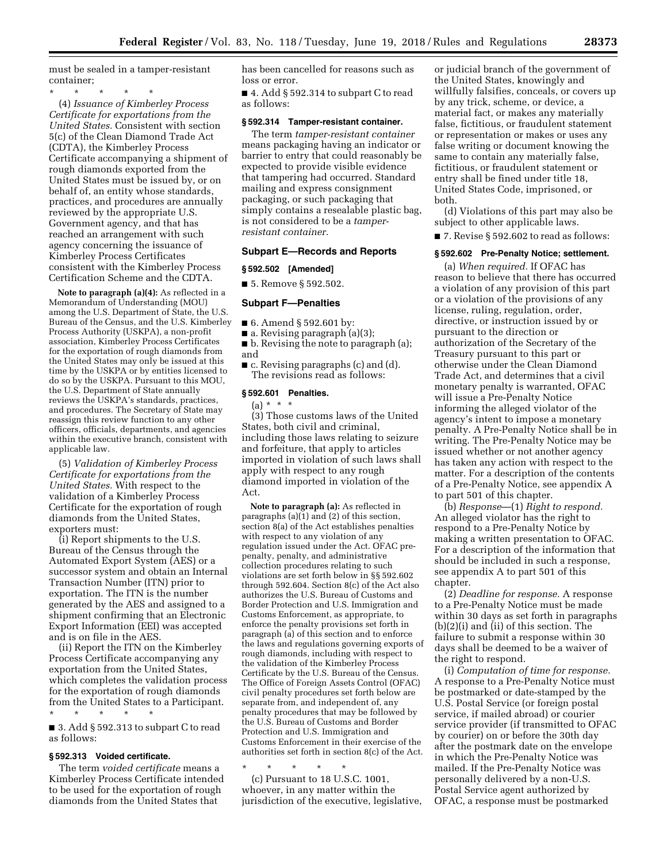must be sealed in a tamper-resistant container;

\* \* \* \* \* (4) *Issuance of Kimberley Process Certificate for exportations from the United States.* Consistent with section 5(c) of the Clean Diamond Trade Act (CDTA), the Kimberley Process Certificate accompanying a shipment of rough diamonds exported from the United States must be issued by, or on behalf of, an entity whose standards, practices, and procedures are annually reviewed by the appropriate U.S. Government agency, and that has reached an arrangement with such agency concerning the issuance of Kimberley Process Certificates consistent with the Kimberley Process Certification Scheme and the CDTA.

**Note to paragraph (a)(4):** As reflected in a Memorandum of Understanding (MOU) among the U.S. Department of State, the U.S. Bureau of the Census, and the U.S. Kimberley Process Authority (USKPA), a non-profit association, Kimberley Process Certificates for the exportation of rough diamonds from the United States may only be issued at this time by the USKPA or by entities licensed to do so by the USKPA. Pursuant to this MOU, the U.S. Department of State annually reviews the USKPA's standards, practices, and procedures. The Secretary of State may reassign this review function to any other officers, officials, departments, and agencies within the executive branch, consistent with applicable law.

(5) *Validation of Kimberley Process Certificate for exportations from the United States.* With respect to the validation of a Kimberley Process Certificate for the exportation of rough diamonds from the United States, exporters must:

(i) Report shipments to the U.S. Bureau of the Census through the Automated Export System (AES) or a successor system and obtain an Internal Transaction Number (ITN) prior to exportation. The ITN is the number generated by the AES and assigned to a shipment confirming that an Electronic Export Information (EEI) was accepted and is on file in the AES

(ii) Report the ITN on the Kimberley Process Certificate accompanying any exportation from the United States, which completes the validation process for the exportation of rough diamonds from the United States to a Participant.

\* \* \* \* \* ■ 3. Add § 592.313 to subpart C to read as follows:

# **§ 592.313 Voided certificate.**

The term *voided certificate* means a Kimberley Process Certificate intended to be used for the exportation of rough diamonds from the United States that

has been cancelled for reasons such as loss or error.

■ 4. Add § 592.314 to subpart C to read as follows:

#### **§ 592.314 Tamper-resistant container.**

The term *tamper-resistant container*  means packaging having an indicator or barrier to entry that could reasonably be expected to provide visible evidence that tampering had occurred. Standard mailing and express consignment packaging, or such packaging that simply contains a resealable plastic bag, is not considered to be a *tamperresistant container.* 

# **Subpart E—Records and Reports**

## **§ 592.502 [Amended]**

■ 5. Remove § 592.502.

#### **Subpart F—Penalties**

- 6. Amend § 592.601 by:
- $\blacksquare$  a. Revising paragraph (a)(3);
- b. Revising the note to paragraph (a); and
- c. Revising paragraphs (c) and (d). The revisions read as follows:

#### **§ 592.601 Penalties.**

 $(a) * * * *$ 

(3) Those customs laws of the United States, both civil and criminal, including those laws relating to seizure and forfeiture, that apply to articles imported in violation of such laws shall apply with respect to any rough diamond imported in violation of the Act.

**Note to paragraph (a):** As reflected in paragraphs  $(a)(1)$  and  $(2)$  of this section section 8(a) of the Act establishes penalties with respect to any violation of any regulation issued under the Act. OFAC prepenalty, penalty, and administrative collection procedures relating to such violations are set forth below in §§ 592.602 through 592.604. Section 8(c) of the Act also authorizes the U.S. Bureau of Customs and Border Protection and U.S. Immigration and Customs Enforcement, as appropriate, to enforce the penalty provisions set forth in paragraph (a) of this section and to enforce the laws and regulations governing exports of rough diamonds, including with respect to the validation of the Kimberley Process Certificate by the U.S. Bureau of the Census. The Office of Foreign Assets Control (OFAC) civil penalty procedures set forth below are separate from, and independent of, any penalty procedures that may be followed by the U.S. Bureau of Customs and Border Protection and U.S. Immigration and Customs Enforcement in their exercise of the authorities set forth in section 8(c) of the Act.

\* \* \* \* \*

(c) Pursuant to 18 U.S.C. 1001, whoever, in any matter within the jurisdiction of the executive, legislative,

or judicial branch of the government of the United States, knowingly and willfully falsifies, conceals, or covers up by any trick, scheme, or device, a material fact, or makes any materially false, fictitious, or fraudulent statement or representation or makes or uses any false writing or document knowing the same to contain any materially false, fictitious, or fraudulent statement or entry shall be fined under title 18, United States Code, imprisoned, or both.

(d) Violations of this part may also be subject to other applicable laws.

■ 7. Revise § 592.602 to read as follows:

# **§ 592.602 Pre-Penalty Notice; settlement.**

(a) *When required.* If OFAC has reason to believe that there has occurred a violation of any provision of this part or a violation of the provisions of any license, ruling, regulation, order, directive, or instruction issued by or pursuant to the direction or authorization of the Secretary of the Treasury pursuant to this part or otherwise under the Clean Diamond Trade Act, and determines that a civil monetary penalty is warranted, OFAC will issue a Pre-Penalty Notice informing the alleged violator of the agency's intent to impose a monetary penalty. A Pre-Penalty Notice shall be in writing. The Pre-Penalty Notice may be issued whether or not another agency has taken any action with respect to the matter. For a description of the contents of a Pre-Penalty Notice, see appendix A to part 501 of this chapter.

(b) *Response*—(1) *Right to respond.*  An alleged violator has the right to respond to a Pre-Penalty Notice by making a written presentation to OFAC. For a description of the information that should be included in such a response, see appendix A to part 501 of this chapter.

(2) *Deadline for response.* A response to a Pre-Penalty Notice must be made within 30 days as set forth in paragraphs (b)(2)(i) and (ii) of this section. The failure to submit a response within 30 days shall be deemed to be a waiver of the right to respond.

(i) *Computation of time for response.*  A response to a Pre-Penalty Notice must be postmarked or date-stamped by the U.S. Postal Service (or foreign postal service, if mailed abroad) or courier service provider (if transmitted to OFAC by courier) on or before the 30th day after the postmark date on the envelope in which the Pre-Penalty Notice was mailed. If the Pre-Penalty Notice was personally delivered by a non-U.S. Postal Service agent authorized by OFAC, a response must be postmarked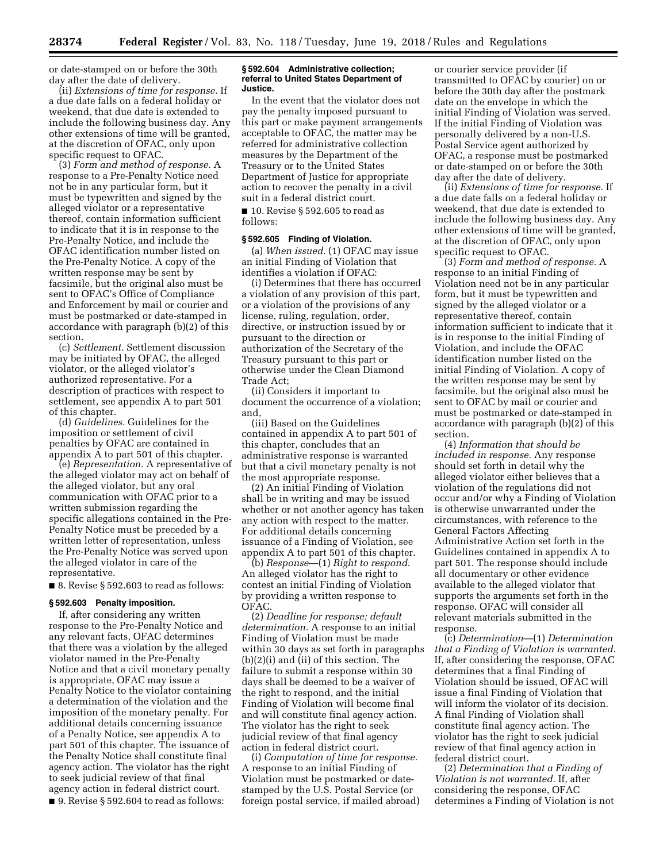or date-stamped on or before the 30th day after the date of delivery.

(ii) *Extensions of time for response.* If a due date falls on a federal holiday or weekend, that due date is extended to include the following business day. Any other extensions of time will be granted, at the discretion of OFAC, only upon specific request to OFAC.

(3) *Form and method of response.* A response to a Pre-Penalty Notice need not be in any particular form, but it must be typewritten and signed by the alleged violator or a representative thereof, contain information sufficient to indicate that it is in response to the Pre-Penalty Notice, and include the OFAC identification number listed on the Pre-Penalty Notice. A copy of the written response may be sent by facsimile, but the original also must be sent to OFAC's Office of Compliance and Enforcement by mail or courier and must be postmarked or date-stamped in accordance with paragraph (b)(2) of this section.

(c) *Settlement.* Settlement discussion may be initiated by OFAC, the alleged violator, or the alleged violator's authorized representative. For a description of practices with respect to settlement, see appendix A to part 501 of this chapter.

(d) *Guidelines.* Guidelines for the imposition or settlement of civil penalties by OFAC are contained in appendix A to part 501 of this chapter.

(e) *Representation.* A representative of the alleged violator may act on behalf of the alleged violator, but any oral communication with OFAC prior to a written submission regarding the specific allegations contained in the Pre-Penalty Notice must be preceded by a written letter of representation, unless the Pre-Penalty Notice was served upon the alleged violator in care of the representative.

 $\blacksquare$  8. Revise § 592.603 to read as follows:

# **§ 592.603 Penalty imposition.**

If, after considering any written response to the Pre-Penalty Notice and any relevant facts, OFAC determines that there was a violation by the alleged violator named in the Pre-Penalty Notice and that a civil monetary penalty is appropriate, OFAC may issue a Penalty Notice to the violator containing a determination of the violation and the imposition of the monetary penalty. For additional details concerning issuance of a Penalty Notice, see appendix A to part 501 of this chapter. The issuance of the Penalty Notice shall constitute final agency action. The violator has the right to seek judicial review of that final agency action in federal district court. ■ 9. Revise § 592.604 to read as follows:

#### **§ 592.604 Administrative collection; referral to United States Department of Justice.**

In the event that the violator does not pay the penalty imposed pursuant to this part or make payment arrangements acceptable to OFAC, the matter may be referred for administrative collection measures by the Department of the Treasury or to the United States Department of Justice for appropriate action to recover the penalty in a civil suit in a federal district court.

■ 10. Revise § 592.605 to read as follows:

### **§ 592.605 Finding of Violation.**

(a) *When issued.* (1) OFAC may issue an initial Finding of Violation that identifies a violation if OFAC:

(i) Determines that there has occurred a violation of any provision of this part, or a violation of the provisions of any license, ruling, regulation, order, directive, or instruction issued by or pursuant to the direction or authorization of the Secretary of the Treasury pursuant to this part or otherwise under the Clean Diamond Trade Act;

(ii) Considers it important to document the occurrence of a violation; and,

(iii) Based on the Guidelines contained in appendix A to part 501 of this chapter, concludes that an administrative response is warranted but that a civil monetary penalty is not the most appropriate response.

(2) An initial Finding of Violation shall be in writing and may be issued whether or not another agency has taken any action with respect to the matter. For additional details concerning issuance of a Finding of Violation, see appendix A to part 501 of this chapter.

(b) *Response*—(1) *Right to respond.*  An alleged violator has the right to contest an initial Finding of Violation by providing a written response to OFAC.

(2) *Deadline for response; default determination.* A response to an initial Finding of Violation must be made within 30 days as set forth in paragraphs (b)(2)(i) and (ii) of this section. The failure to submit a response within 30 days shall be deemed to be a waiver of the right to respond, and the initial Finding of Violation will become final and will constitute final agency action. The violator has the right to seek judicial review of that final agency action in federal district court.

(i) *Computation of time for response.*  A response to an initial Finding of Violation must be postmarked or datestamped by the U.S. Postal Service (or foreign postal service, if mailed abroad)

or courier service provider (if transmitted to OFAC by courier) on or before the 30th day after the postmark date on the envelope in which the initial Finding of Violation was served. If the initial Finding of Violation was personally delivered by a non-U.S. Postal Service agent authorized by OFAC, a response must be postmarked or date-stamped on or before the 30th day after the date of delivery.

(ii) *Extensions of time for response.* If a due date falls on a federal holiday or weekend, that due date is extended to include the following business day. Any other extensions of time will be granted, at the discretion of OFAC, only upon specific request to OFAC.

(3) *Form and method of response.* A response to an initial Finding of Violation need not be in any particular form, but it must be typewritten and signed by the alleged violator or a representative thereof, contain information sufficient to indicate that it is in response to the initial Finding of Violation, and include the OFAC identification number listed on the initial Finding of Violation. A copy of the written response may be sent by facsimile, but the original also must be sent to OFAC by mail or courier and must be postmarked or date-stamped in accordance with paragraph (b)(2) of this section.

(4) *Information that should be included in response.* Any response should set forth in detail why the alleged violator either believes that a violation of the regulations did not occur and/or why a Finding of Violation is otherwise unwarranted under the circumstances, with reference to the General Factors Affecting Administrative Action set forth in the Guidelines contained in appendix A to part 501. The response should include all documentary or other evidence available to the alleged violator that supports the arguments set forth in the response. OFAC will consider all relevant materials submitted in the response.

(c) *Determination*—(1) *Determination that a Finding of Violation is warranted.*  If, after considering the response, OFAC determines that a final Finding of Violation should be issued, OFAC will issue a final Finding of Violation that will inform the violator of its decision. A final Finding of Violation shall constitute final agency action. The violator has the right to seek judicial review of that final agency action in federal district court.

(2) *Determination that a Finding of Violation is not warranted.* If, after considering the response, OFAC determines a Finding of Violation is not